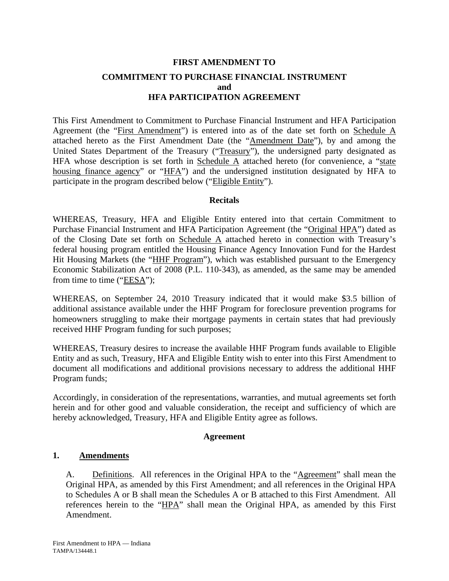# **FIRST AMENDMENT TO COMMITMENT TO PURCHASE FINANCIAL INSTRUMENT and HFA PARTICIPATION AGREEMENT**

This First Amendment to Commitment to Purchase Financial Instrument and HFA Participation Agreement (the "First Amendment") is entered into as of the date set forth on Schedule A attached hereto as the First Amendment Date (the "Amendment Date"), by and among the United States Department of the Treasury ("Treasury"), the undersigned party designated as HFA whose description is set forth in Schedule  $\overline{A}$  attached hereto (for convenience, a "state housing finance agency" or "HFA") and the undersigned institution designated by HFA to participate in the program described below ("Eligible Entity").

#### **Recitals**

WHEREAS, Treasury, HFA and Eligible Entity entered into that certain Commitment to Purchase Financial Instrument and HFA Participation Agreement (the "Original HPA") dated as of the Closing Date set forth on Schedule A attached hereto in connection with Treasury's federal housing program entitled the Housing Finance Agency Innovation Fund for the Hardest Hit Housing Markets (the "HHF Program"), which was established pursuant to the Emergency Economic Stabilization Act of 2008 (P.L. 110-343), as amended, as the same may be amended from time to time ("EESA");

WHEREAS, on September 24, 2010 Treasury indicated that it would make \$3.5 billion of additional assistance available under the HHF Program for foreclosure prevention programs for homeowners struggling to make their mortgage payments in certain states that had previously received HHF Program funding for such purposes;

WHEREAS, Treasury desires to increase the available HHF Program funds available to Eligible Entity and as such, Treasury, HFA and Eligible Entity wish to enter into this First Amendment to document all modifications and additional provisions necessary to address the additional HHF Program funds;

Accordingly, in consideration of the representations, warranties, and mutual agreements set forth herein and for other good and valuable consideration, the receipt and sufficiency of which are hereby acknowledged, Treasury, HFA and Eligible Entity agree as follows.

#### **Agreement**

### **1. Amendments**

A. Definitions. All references in the Original HPA to the "Agreement" shall mean the Original HPA, as amended by this First Amendment; and all references in the Original HPA to Schedules A or B shall mean the Schedules A or B attached to this First Amendment. All references herein to the "HPA" shall mean the Original HPA, as amended by this First Amendment.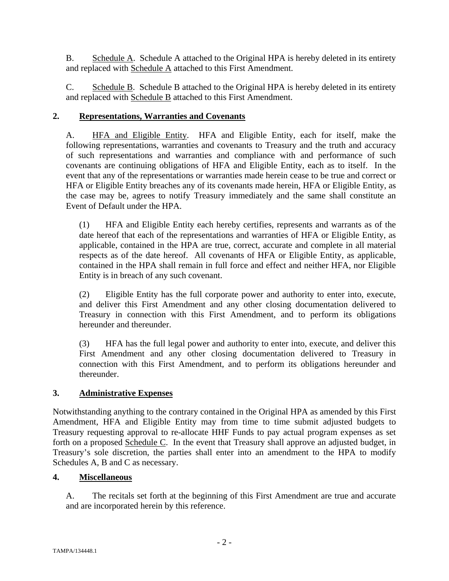B. Schedule A. Schedule A attached to the Original HPA is hereby deleted in its entirety and replaced with Schedule A attached to this First Amendment.

C. Schedule B. Schedule B attached to the Original HPA is hereby deleted in its entirety and replaced with Schedule B attached to this First Amendment.

## **2. Representations, Warranties and Covenants**

A. HFA and Eligible Entity. HFA and Eligible Entity, each for itself, make the following representations, warranties and covenants to Treasury and the truth and accuracy of such representations and warranties and compliance with and performance of such covenants are continuing obligations of HFA and Eligible Entity, each as to itself. In the event that any of the representations or warranties made herein cease to be true and correct or HFA or Eligible Entity breaches any of its covenants made herein, HFA or Eligible Entity, as the case may be, agrees to notify Treasury immediately and the same shall constitute an Event of Default under the HPA.

(1) HFA and Eligible Entity each hereby certifies, represents and warrants as of the date hereof that each of the representations and warranties of HFA or Eligible Entity, as applicable, contained in the HPA are true, correct, accurate and complete in all material respects as of the date hereof. All covenants of HFA or Eligible Entity, as applicable, contained in the HPA shall remain in full force and effect and neither HFA, nor Eligible Entity is in breach of any such covenant.

(2) Eligible Entity has the full corporate power and authority to enter into, execute, and deliver this First Amendment and any other closing documentation delivered to Treasury in connection with this First Amendment, and to perform its obligations hereunder and thereunder.

(3) HFA has the full legal power and authority to enter into, execute, and deliver this First Amendment and any other closing documentation delivered to Treasury in connection with this First Amendment, and to perform its obligations hereunder and thereunder.

# **3. Administrative Expenses**

Notwithstanding anything to the contrary contained in the Original HPA as amended by this First Amendment, HFA and Eligible Entity may from time to time submit adjusted budgets to Treasury requesting approval to re-allocate HHF Funds to pay actual program expenses as set forth on a proposed Schedule C. In the event that Treasury shall approve an adjusted budget, in Treasury's sole discretion, the parties shall enter into an amendment to the HPA to modify Schedules A, B and C as necessary.

### **4. Miscellaneous**

A. The recitals set forth at the beginning of this First Amendment are true and accurate and are incorporated herein by this reference.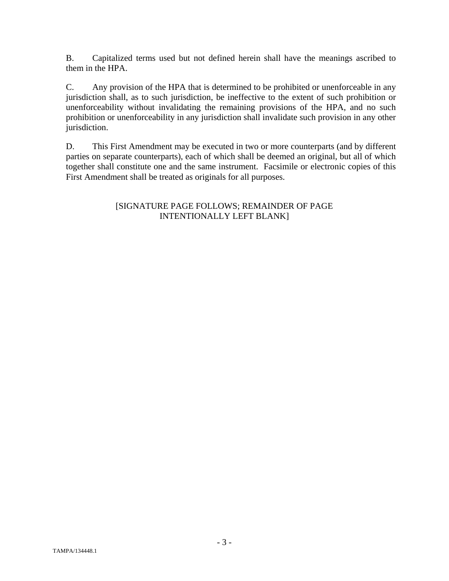B. Capitalized terms used but not defined herein shall have the meanings ascribed to them in the HPA.

C. Any provision of the HPA that is determined to be prohibited or unenforceable in any jurisdiction shall, as to such jurisdiction, be ineffective to the extent of such prohibition or unenforceability without invalidating the remaining provisions of the HPA, and no such prohibition or unenforceability in any jurisdiction shall invalidate such provision in any other jurisdiction.

D. This First Amendment may be executed in two or more counterparts (and by different parties on separate counterparts), each of which shall be deemed an original, but all of which together shall constitute one and the same instrument. Facsimile or electronic copies of this First Amendment shall be treated as originals for all purposes.

### [SIGNATURE PAGE FOLLOWS; REMAINDER OF PAGE INTENTIONALLY LEFT BLANK]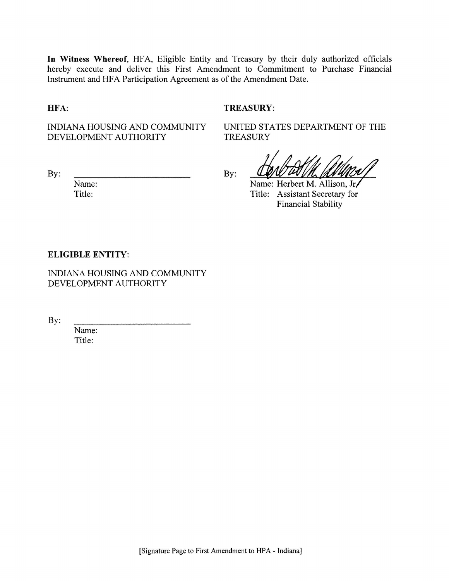In Witness Whereof, HFA, Eligible Entity and Treasury by their duly authorized officials hereby execute and deliver this First Amendment to Commitment to Purchase Financial Instrument and HFA Participation Agreement as of the Amendment Date.

#### HFA:

#### **TREASURY:**

**TREASURY** 

 $By:$ 

INDIANA HOUSING AND COMMUNITY DEVELOPMENT AUTHORITY

UNITED STATES DEPARTMENT OF THE

Name: Herbert M. Allison, Jr. Title: Assistant Secretary for **Financial Stability** 

By:

Name: Title:

#### **ELIGIBLE ENTITY:**

INDIANA HOUSING AND COMMUNITY DEVELOPMENT AUTHORITY

By:

Name: Title: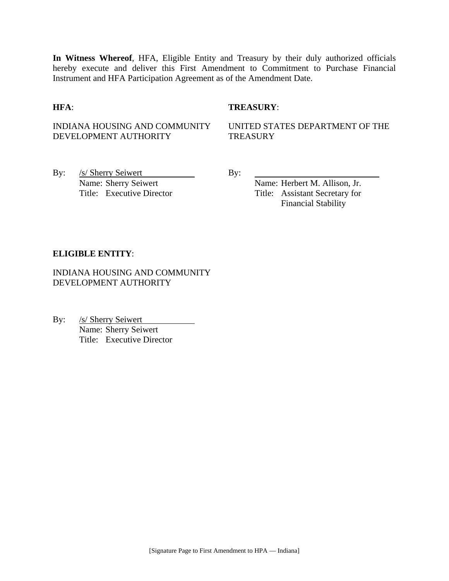**In Witness Whereof**, HFA, Eligible Entity and Treasury by their duly authorized officials hereby execute and deliver this First Amendment to Commitment to Purchase Financial Instrument and HFA Participation Agreement as of the Amendment Date.

#### **HFA**: **TREASURY**:

#### INDIANA HOUSING AND COMMUNITY DEVELOPMENT AUTHORITY

UNITED STATES DEPARTMENT OF THE **TREASURY** 

By: <u>/s/ Sherry Seiwert</u> By: Name: Sherry Seiwert By:

Name: Herbert M. Allison, Jr. Title: Executive Director Title: Assistant Secretary for Financial Stability

#### **ELIGIBLE ENTITY**:

INDIANA HOUSING AND COMMUNITY DEVELOPMENT AUTHORITY

By: /s/ Sherry Seiwert Name: Sherry Seiwert Title: Executive Director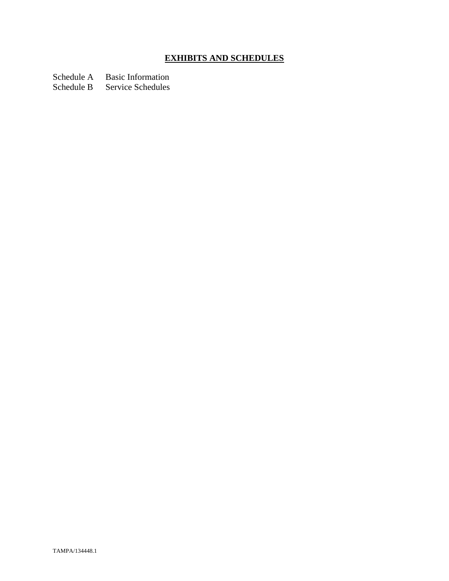# **EXHIBITS AND SCHEDULES**

Schedule A Basic Information<br>Schedule B Service Schedules

Service Schedules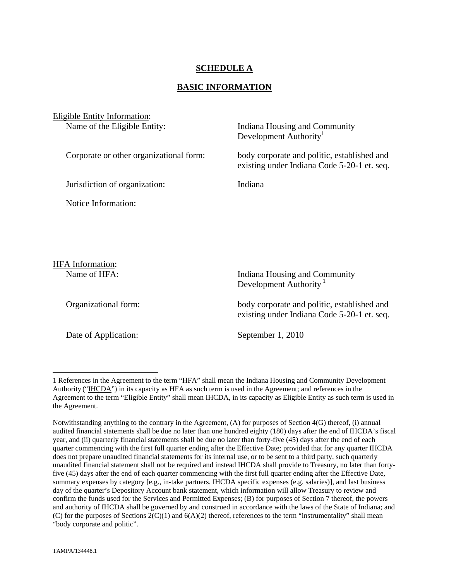## **SCHEDULE A**

#### **BASIC INFORMATION**

| Eligible Entity Information: |                                         |                                                                                            |  |  |
|------------------------------|-----------------------------------------|--------------------------------------------------------------------------------------------|--|--|
|                              | Name of the Eligible Entity:            | Indiana Housing and Community<br>Development Authority <sup>1</sup>                        |  |  |
|                              | Corporate or other organizational form: | body corporate and politic, established and<br>existing under Indiana Code 5-20-1 et. seq. |  |  |
|                              | Jurisdiction of organization:           | Indiana                                                                                    |  |  |
|                              | Notice Information:                     |                                                                                            |  |  |
|                              |                                         |                                                                                            |  |  |

HFA Information:

 $\overline{a}$ 

Date of Application: September 1, 2010

Name of HFA: Indiana Housing and Community Development Authority<sup>1</sup>

Organizational form: body corporate and politic, established and existing under Indiana Code 5-20-1 et. seq.

<sup>1</sup> References in the Agreement to the term "HFA" shall mean the Indiana Housing and Community Development Authority ("IHCDA") in its capacity as HFA as such term is used in the Agreement; and references in the Agreement to the term "Eligible Entity" shall mean IHCDA, in its capacity as Eligible Entity as such term is used in the Agreement.

Notwithstanding anything to the contrary in the Agreement, (A) for purposes of Section 4(G) thereof, (i) annual audited financial statements shall be due no later than one hundred eighty (180) days after the end of IHCDA's fiscal year, and (ii) quarterly financial statements shall be due no later than forty-five (45) days after the end of each quarter commencing with the first full quarter ending after the Effective Date; provided that for any quarter IHCDA does not prepare unaudited financial statements for its internal use, or to be sent to a third party, such quarterly unaudited financial statement shall not be required and instead IHCDA shall provide to Treasury, no later than fortyfive (45) days after the end of each quarter commencing with the first full quarter ending after the Effective Date, summary expenses by category [e.g., in-take partners, IHCDA specific expenses (e.g. salaries)], and last business day of the quarter's Depository Account bank statement, which information will allow Treasury to review and confirm the funds used for the Services and Permitted Expenses; (B) for purposes of Section 7 thereof, the powers and authority of IHCDA shall be governed by and construed in accordance with the laws of the State of Indiana; and (C) for the purposes of Sections 2(C)(1) and 6(A)(2) thereof, references to the term "instrumentality" shall mean "body corporate and politic".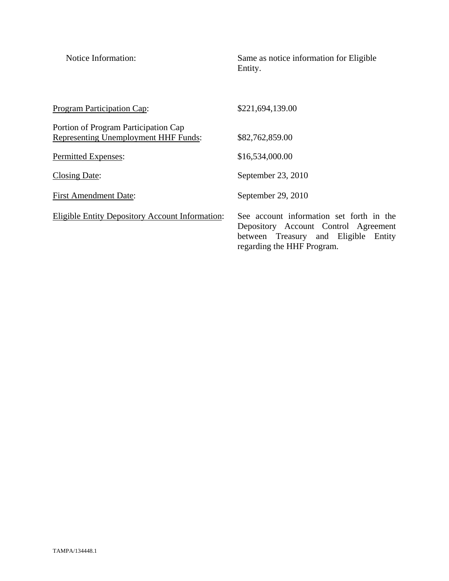| Notice Information:                                                                 | Same as notice information for Eligible<br>Entity.                                                                                                     |
|-------------------------------------------------------------------------------------|--------------------------------------------------------------------------------------------------------------------------------------------------------|
| <b>Program Participation Cap:</b>                                                   | \$221,694,139.00                                                                                                                                       |
| Portion of Program Participation Cap<br><b>Representing Unemployment HHF Funds:</b> | \$82,762,859.00                                                                                                                                        |
| Permitted Expenses:                                                                 | \$16,534,000.00                                                                                                                                        |
| Closing Date:                                                                       | September 23, 2010                                                                                                                                     |
| <b>First Amendment Date:</b>                                                        | September 29, 2010                                                                                                                                     |
| <b>Eligible Entity Depository Account Information:</b>                              | See account information set forth in the<br>Depository Account Control Agreement<br>between Treasury and Eligible Entity<br>regarding the HHF Program. |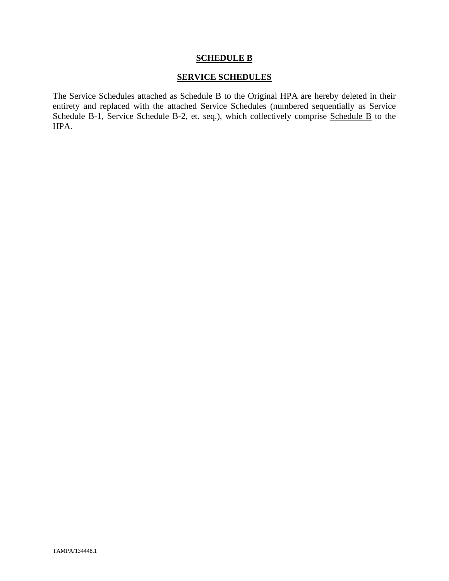#### **SCHEDULE B**

#### **SERVICE SCHEDULES**

The Service Schedules attached as Schedule B to the Original HPA are hereby deleted in their entirety and replaced with the attached Service Schedules (numbered sequentially as Service Schedule B-1, Service Schedule B-2, et. seq.), which collectively comprise Schedule B to the HPA.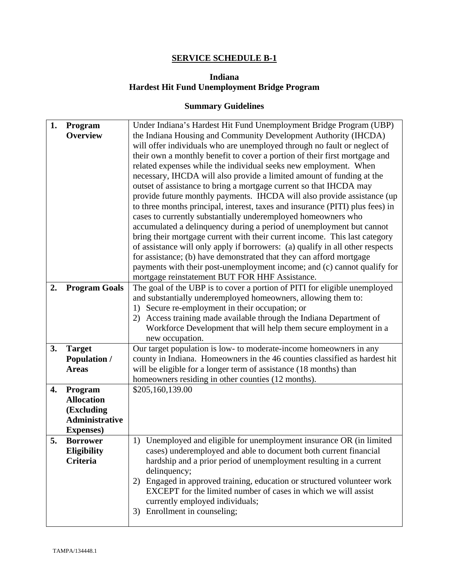# **SERVICE SCHEDULE B-1**

# **Indiana Hardest Hit Fund Unemployment Bridge Program**

# **Summary Guidelines**

| 1. | Program               | Under Indiana's Hardest Hit Fund Unemployment Bridge Program (UBP)            |
|----|-----------------------|-------------------------------------------------------------------------------|
|    | <b>Overview</b>       | the Indiana Housing and Community Development Authority (IHCDA)               |
|    |                       | will offer individuals who are unemployed through no fault or neglect of      |
|    |                       | their own a monthly benefit to cover a portion of their first mortgage and    |
|    |                       | related expenses while the individual seeks new employment. When              |
|    |                       | necessary, IHCDA will also provide a limited amount of funding at the         |
|    |                       | outset of assistance to bring a mortgage current so that IHCDA may            |
|    |                       | provide future monthly payments. IHCDA will also provide assistance (up       |
|    |                       | to three months principal, interest, taxes and insurance (PITI) plus fees) in |
|    |                       | cases to currently substantially underemployed homeowners who                 |
|    |                       | accumulated a delinquency during a period of unemployment but cannot          |
|    |                       | bring their mortgage current with their current income. This last category    |
|    |                       | of assistance will only apply if borrowers: (a) qualify in all other respects |
|    |                       | for assistance; (b) have demonstrated that they can afford mortgage           |
|    |                       | payments with their post-unemployment income; and (c) cannot qualify for      |
|    |                       | mortgage reinstatement BUT FOR HHF Assistance.                                |
| 2. | <b>Program Goals</b>  | The goal of the UBP is to cover a portion of PITI for eligible unemployed     |
|    |                       | and substantially underemployed homeowners, allowing them to:                 |
|    |                       | 1) Secure re-employment in their occupation; or                               |
|    |                       | Access training made available through the Indiana Department of              |
|    |                       | Workforce Development that will help them secure employment in a              |
|    |                       | new occupation.                                                               |
| 3. | <b>Target</b>         | Our target population is low- to moderate-income homeowners in any            |
|    | <b>Population /</b>   | county in Indiana. Homeowners in the 46 counties classified as hardest hit    |
|    | <b>Areas</b>          | will be eligible for a longer term of assistance (18 months) than             |
|    |                       | homeowners residing in other counties (12 months).                            |
| 4. | Program               | \$205,160,139.00                                                              |
|    | <b>Allocation</b>     |                                                                               |
|    | (Excluding            |                                                                               |
|    | <b>Administrative</b> |                                                                               |
|    | <b>Expenses</b> )     |                                                                               |
| 5. | <b>Borrower</b>       | Unemployed and eligible for unemployment insurance OR (in limited<br>1)       |
|    | <b>Eligibility</b>    | cases) underemployed and able to document both current financial              |
|    | Criteria              | hardship and a prior period of unemployment resulting in a current            |
|    |                       | delinquency;                                                                  |
|    |                       | Engaged in approved training, education or structured volunteer work<br>2)    |
|    |                       | EXCEPT for the limited number of cases in which we will assist                |
|    |                       | currently employed individuals;                                               |
|    |                       | Enrollment in counseling;<br>3)                                               |
|    |                       |                                                                               |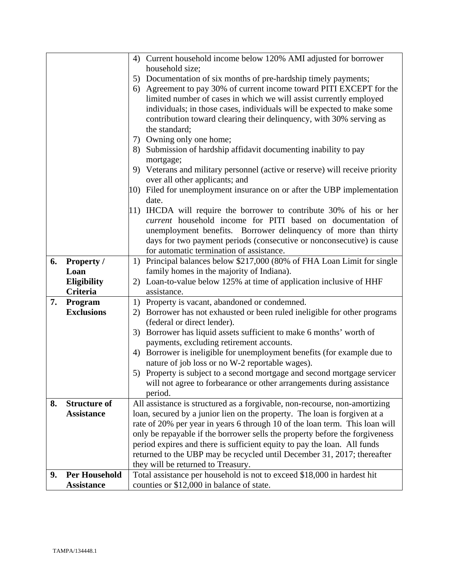|    |                      | Current household income below 120% AMI adjusted for borrower<br>4)                   |
|----|----------------------|---------------------------------------------------------------------------------------|
|    |                      | household size;                                                                       |
|    |                      | Documentation of six months of pre-hardship timely payments;<br>5)                    |
|    |                      | Agreement to pay 30% of current income toward PITI EXCEPT for the<br>6)               |
|    |                      | limited number of cases in which we will assist currently employed                    |
|    |                      | individuals; in those cases, individuals will be expected to make some                |
|    |                      | contribution toward clearing their delinquency, with 30% serving as                   |
|    |                      | the standard;                                                                         |
|    |                      | 7) Owning only one home;                                                              |
|    |                      | Submission of hardship affidavit documenting inability to pay<br>8)                   |
|    |                      | mortgage;                                                                             |
|    |                      | Veterans and military personnel (active or reserve) will receive priority<br>9)       |
|    |                      | over all other applicants; and                                                        |
|    |                      | Filed for unemployment insurance on or after the UBP implementation<br>10)            |
|    |                      | date.                                                                                 |
|    |                      | IHCDA will require the borrower to contribute 30% of his or her<br>11)                |
|    |                      | current household income for PITI based on documentation of                           |
|    |                      | unemployment benefits. Borrower delinquency of more than thirty                       |
|    |                      | days for two payment periods (consecutive or nonconsecutive) is cause                 |
|    |                      | for automatic termination of assistance.                                              |
| 6. | <b>Property</b> /    | Principal balances below \$217,000 (80% of FHA Loan Limit for single<br>1)            |
|    | Loan                 | family homes in the majority of Indiana).                                             |
|    | Eligibility          | 2) Loan-to-value below 125% at time of application inclusive of HHF                   |
|    | Criteria             | assistance.                                                                           |
| 7. | Program              | Property is vacant, abandoned or condemned.<br>1)                                     |
|    | <b>Exclusions</b>    | Borrower has not exhausted or been ruled ineligible for other programs<br>2)          |
|    |                      | (federal or direct lender).                                                           |
|    |                      | 3) Borrower has liquid assets sufficient to make 6 months' worth of                   |
|    |                      | payments, excluding retirement accounts.                                              |
|    |                      | Borrower is ineligible for unemployment benefits (for example due to<br>4)            |
|    |                      | nature of job loss or no W-2 reportable wages).                                       |
|    |                      | 5) Property is subject to a second mortgage and second mortgage servicer              |
|    |                      | will not agree to forbearance or other arrangements during assistance                 |
| 8. | <b>Structure of</b>  | period.<br>All assistance is structured as a forgivable, non-recourse, non-amortizing |
|    | <b>Assistance</b>    | loan, secured by a junior lien on the property. The loan is forgiven at a             |
|    |                      | rate of 20% per year in years 6 through 10 of the loan term. This loan will           |
|    |                      | only be repayable if the borrower sells the property before the forgiveness           |
|    |                      | period expires and there is sufficient equity to pay the loan. All funds              |
|    |                      | returned to the UBP may be recycled until December 31, 2017; thereafter               |
|    |                      | they will be returned to Treasury.                                                    |
| 9. | <b>Per Household</b> | Total assistance per household is not to exceed \$18,000 in hardest hit               |
|    | <b>Assistance</b>    | counties or \$12,000 in balance of state.                                             |